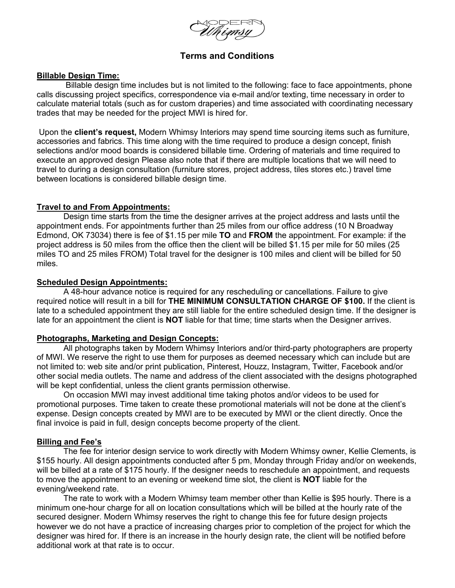# **Terms and Conditions**

## **Billable Design Time:**

Billable design time includes but is not limited to the following: face to face appointments, phone calls discussing project specifics, correspondence via e-mail and/or texting, time necessary in order to calculate material totals (such as for custom draperies) and time associated with coordinating necessary trades that may be needed for the project MWI is hired for.

Upon the **client's request,** Modern Whimsy Interiors may spend time sourcing items such as furniture, accessories and fabrics. This time along with the time required to produce a design concept, finish selections and/or mood boards is considered billable time. Ordering of materials and time required to execute an approved design Please also note that if there are multiple locations that we will need to travel to during a design consultation (furniture stores, project address, tiles stores etc.) travel time between locations is considered billable design time.

## **Travel to and From Appointments:**

Design time starts from the time the designer arrives at the project address and lasts until the appointment ends. For appointments further than 25 miles from our office address (10 N Broadway Edmond, OK 73034) there is fee of \$1.15 per mile **TO** and **FROM** the appointment. For example: if the project address is 50 miles from the office then the client will be billed \$1.15 per mile for 50 miles (25 miles TO and 25 miles FROM) Total travel for the designer is 100 miles and client will be billed for 50 miles.

## **Scheduled Design Appointments:**

A 48-hour advance notice is required for any rescheduling or cancellations. Failure to give required notice will result in a bill for **THE MINIMUM CONSULTATION CHARGE OF \$100.** If the client is late to a scheduled appointment they are still liable for the entire scheduled design time. If the designer is late for an appointment the client is **NOT** liable for that time; time starts when the Designer arrives.

## **Photographs, Marketing and Design Concepts:**

All photographs taken by Modern Whimsy Interiors and/or third-party photographers are property of MWI. We reserve the right to use them for purposes as deemed necessary which can include but are not limited to: web site and/or print publication, Pinterest, Houzz, Instagram, Twitter, Facebook and/or other social media outlets. The name and address of the client associated with the designs photographed will be kept confidential, unless the client grants permission otherwise.

On occasion MWI may invest additional time taking photos and/or videos to be used for promotional purposes. Time taken to create these promotional materials will not be done at the client's expense. Design concepts created by MWI are to be executed by MWI or the client directly. Once the final invoice is paid in full, design concepts become property of the client.

#### **Billing and Fee's**

The fee for interior design service to work directly with Modern Whimsy owner, Kellie Clements, is \$155 hourly. All design appointments conducted after 5 pm, Monday through Friday and/or on weekends, will be billed at a rate of \$175 hourly. If the designer needs to reschedule an appointment, and requests to move the appointment to an evening or weekend time slot, the client is **NOT** liable for the evening/weekend rate.

The rate to work with a Modern Whimsy team member other than Kellie is \$95 hourly. There is a minimum one-hour charge for all on location consultations which will be billed at the hourly rate of the secured designer. Modern Whimsy reserves the right to change this fee for future design projects however we do not have a practice of increasing charges prior to completion of the project for which the designer was hired for. If there is an increase in the hourly design rate, the client will be notified before additional work at that rate is to occur.